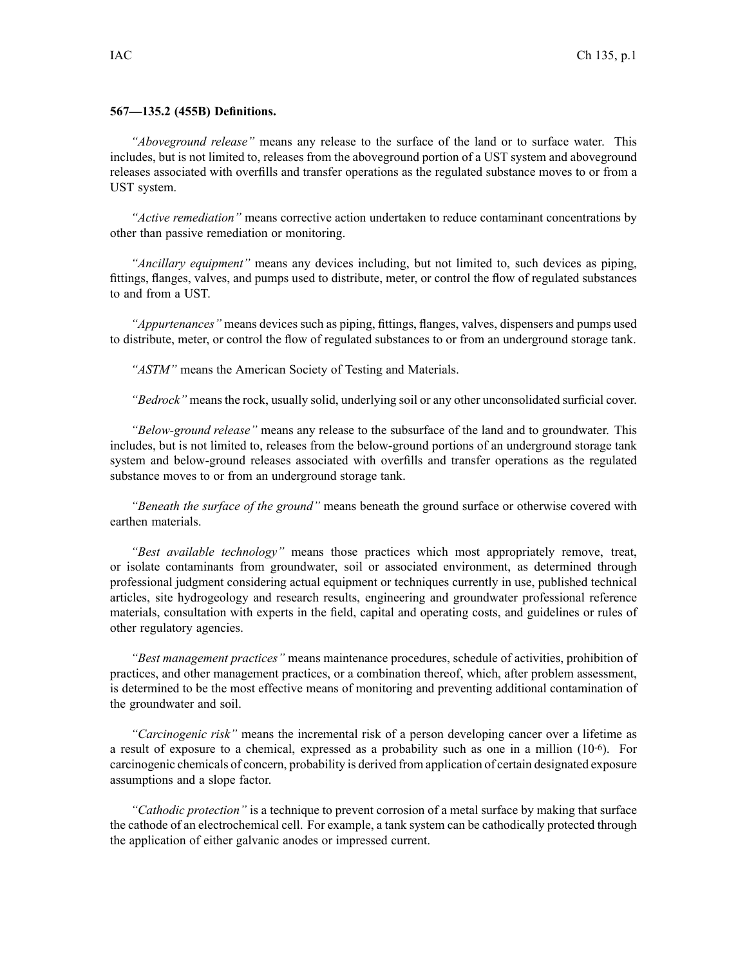## **567—135.2 (455B) Definitions.**

*"Aboveground release"* means any release to the surface of the land or to surface water. This includes, but is not limited to, releases from the aboveground portion of <sup>a</sup> UST system and aboveground releases associated with overfills and transfer operations as the regulated substance moves to or from <sup>a</sup> UST system.

*"Active remediation"* means corrective action undertaken to reduce contaminant concentrations by other than passive remediation or monitoring.

*"Ancillary equipment"* means any devices including, but not limited to, such devices as piping, fittings, flanges, valves, and pumps used to distribute, meter, or control the flow of regulated substances to and from <sup>a</sup> UST.

*"Appurtenances"* means devices such as piping, fittings, flanges, valves, dispensers and pumps used to distribute, meter, or control the flow of regulated substances to or from an underground storage tank.

*"ASTM"* means the American Society of Testing and Materials.

*"Bedrock"* means the rock, usually solid, underlying soil or any other unconsolidated surficial cover.

*"Below-ground release"* means any release to the subsurface of the land and to groundwater. This includes, but is not limited to, releases from the below-ground portions of an underground storage tank system and below-ground releases associated with overfills and transfer operations as the regulated substance moves to or from an underground storage tank.

*"Beneath the surface of the ground"* means beneath the ground surface or otherwise covered with earthen materials.

*"Best available technology"* means those practices which most appropriately remove, treat, or isolate contaminants from groundwater, soil or associated environment, as determined through professional judgment considering actual equipment or techniques currently in use, published technical articles, site hydrogeology and research results, engineering and groundwater professional reference materials, consultation with experts in the field, capital and operating costs, and guidelines or rules of other regulatory agencies.

*"Best managemen<sup>t</sup> practices"* means maintenance procedures, schedule of activities, prohibition of practices, and other managemen<sup>t</sup> practices, or <sup>a</sup> combination thereof, which, after problem assessment, is determined to be the most effective means of monitoring and preventing additional contamination of the groundwater and soil.

*"Carcinogenic risk"* means the incremental risk of <sup>a</sup> person developing cancer over <sup>a</sup> lifetime as <sup>a</sup> result of exposure to <sup>a</sup> chemical, expressed as <sup>a</sup> probability such as one in <sup>a</sup> million (10-6 ). For carcinogenic chemicals of concern, probability is derived from application of certain designated exposure assumptions and <sup>a</sup> slope factor.

*"Cathodic protection"* is <sup>a</sup> technique to preven<sup>t</sup> corrosion of <sup>a</sup> metal surface by making that surface the cathode of an electrochemical cell. For example, <sup>a</sup> tank system can be cathodically protected through the application of either galvanic anodes or impressed current.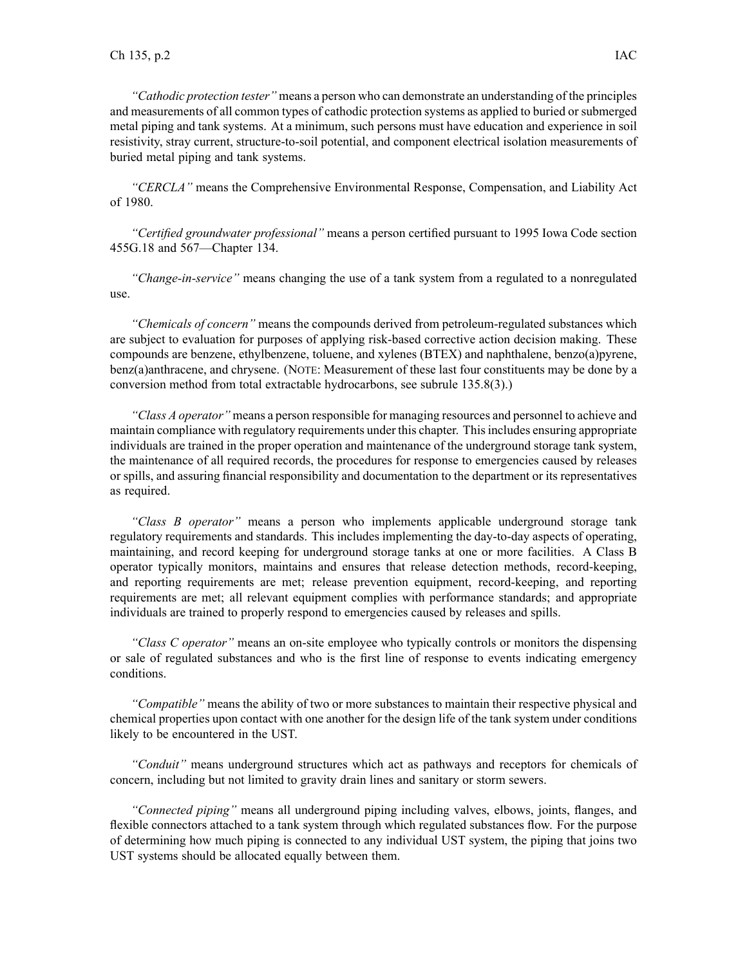*"CERCLA"* means the Comprehensive Environmental Response, Compensation, and Liability Act of 1980.

*"Certified groundwater professional"* means <sup>a</sup> person certified pursuan<sup>t</sup> to 1995 Iowa Code section 455G.18 and 567—Chapter 134.

*"Change-in-service"* means changing the use of <sup>a</sup> tank system from <sup>a</sup> regulated to <sup>a</sup> nonregulated use.

*"Chemicals of concern"* means the compounds derived from petroleum-regulated substances which are subject to evaluation for purposes of applying risk-based corrective action decision making. These compounds are benzene, ethylbenzene, toluene, and xylenes (BTEX) and naphthalene, benzo(a)pyrene, benz(a)anthracene, and chrysene. (NOTE: Measurement of these last four constituents may be done by <sup>a</sup> conversion method from total extractable hydrocarbons, see subrule 135.8(3).)

*"Class A operator"* means <sup>a</sup> person responsible for managing resources and personnel to achieve and maintain compliance with regulatory requirements under this chapter. Thisincludes ensuring appropriate individuals are trained in the proper operation and maintenance of the underground storage tank system, the maintenance of all required records, the procedures for response to emergencies caused by releases or spills, and assuring financial responsibility and documentation to the department or its representatives as required.

*"Class B operator"* means <sup>a</sup> person who implements applicable underground storage tank regulatory requirements and standards. This includes implementing the day-to-day aspects of operating, maintaining, and record keeping for underground storage tanks at one or more facilities. A Class B operator typically monitors, maintains and ensures that release detection methods, record-keeping, and reporting requirements are met; release prevention equipment, record-keeping, and reporting requirements are met; all relevant equipment complies with performance standards; and appropriate individuals are trained to properly respond to emergencies caused by releases and spills.

*"Class C operator"* means an on-site employee who typically controls or monitors the dispensing or sale of regulated substances and who is the first line of response to events indicating emergency conditions.

*"Compatible"* means the ability of two or more substances to maintain their respective physical and chemical properties upon contact with one another for the design life of the tank system under conditions likely to be encountered in the UST.

*"Conduit"* means underground structures which act as pathways and receptors for chemicals of concern, including but not limited to gravity drain lines and sanitary or storm sewers.

*"Connected piping"* means all underground piping including valves, elbows, joints, flanges, and flexible connectors attached to <sup>a</sup> tank system through which regulated substances flow. For the purpose of determining how much piping is connected to any individual UST system, the piping that joins two UST systems should be allocated equally between them.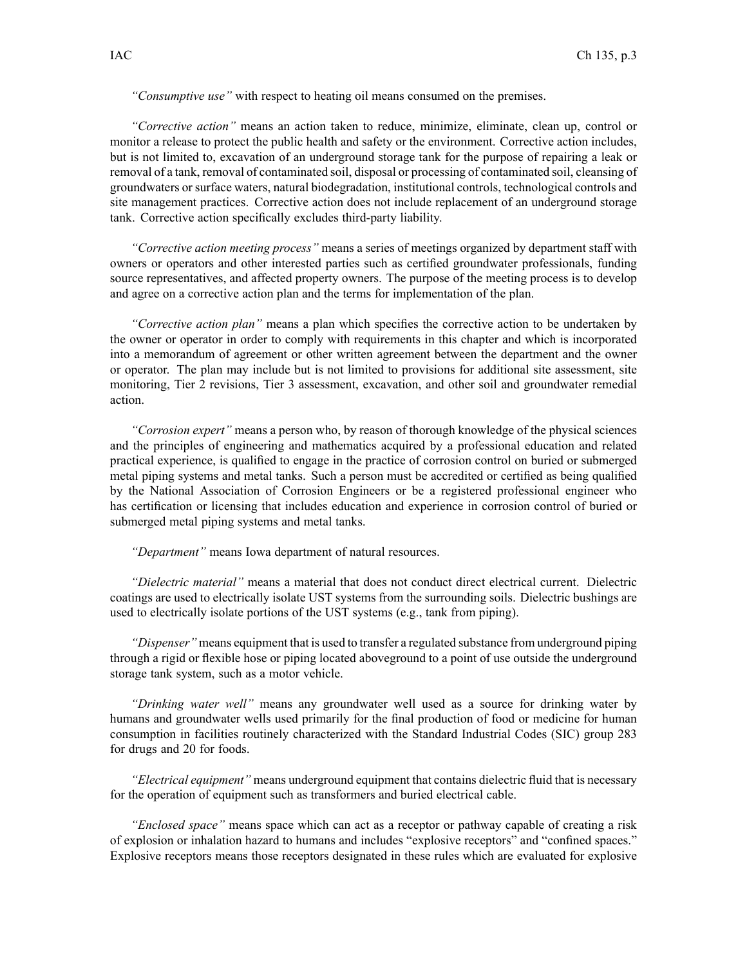*"Consumptive use"* with respec<sup>t</sup> to heating oil means consumed on the premises.

*"Corrective action"* means an action taken to reduce, minimize, eliminate, clean up, control or monitor <sup>a</sup> release to protect the public health and safety or the environment. Corrective action includes, but is not limited to, excavation of an underground storage tank for the purpose of repairing <sup>a</sup> leak or removal of <sup>a</sup> tank, removal of contaminated soil, disposal or processing of contaminated soil, cleansing of groundwaters orsurface waters, natural biodegradation, institutional controls, technological controls and site managemen<sup>t</sup> practices. Corrective action does not include replacement of an underground storage tank. Corrective action specifically excludes third-party liability.

*"Corrective action meeting process"* means <sup>a</sup> series of meetings organized by department staff with owners or operators and other interested parties such as certified groundwater professionals, funding source representatives, and affected property owners. The purpose of the meeting process is to develop and agree on <sup>a</sup> corrective action plan and the terms for implementation of the plan.

*"Corrective action plan"* means <sup>a</sup> plan which specifies the corrective action to be undertaken by the owner or operator in order to comply with requirements in this chapter and which is incorporated into <sup>a</sup> memorandum of agreemen<sup>t</sup> or other written agreemen<sup>t</sup> between the department and the owner or operator. The plan may include but is not limited to provisions for additional site assessment, site monitoring, Tier 2 revisions, Tier 3 assessment, excavation, and other soil and groundwater remedial action.

*"Corrosion expert"* means <sup>a</sup> person who, by reason of thorough knowledge of the physical sciences and the principles of engineering and mathematics acquired by <sup>a</sup> professional education and related practical experience, is qualified to engage in the practice of corrosion control on buried or submerged metal piping systems and metal tanks. Such <sup>a</sup> person must be accredited or certified as being qualified by the National Association of Corrosion Engineers or be <sup>a</sup> registered professional engineer who has certification or licensing that includes education and experience in corrosion control of buried or submerged metal piping systems and metal tanks.

*"Department"* means Iowa department of natural resources.

*"Dielectric material"* means <sup>a</sup> material that does not conduct direct electrical current. Dielectric coatings are used to electrically isolate UST systems from the surrounding soils. Dielectric bushings are used to electrically isolate portions of the UST systems (e.g., tank from piping).

*"Dispenser"* means equipment that is used to transfer <sup>a</sup> regulated substance from underground piping through <sup>a</sup> rigid or flexible hose or piping located aboveground to <sup>a</sup> point of use outside the underground storage tank system, such as <sup>a</sup> motor vehicle.

*"Drinking water well"* means any groundwater well used as <sup>a</sup> source for drinking water by humans and groundwater wells used primarily for the final production of food or medicine for human consumption in facilities routinely characterized with the Standard Industrial Codes (SIC) group 283 for drugs and 20 for foods.

*"Electrical equipment"* means underground equipment that contains dielectric fluid that is necessary for the operation of equipment such as transformers and buried electrical cable.

*"Enclosed space"* means space which can act as <sup>a</sup> receptor or pathway capable of creating <sup>a</sup> risk of explosion or inhalation hazard to humans and includes "explosive receptors" and "confined spaces." Explosive receptors means those receptors designated in these rules which are evaluated for explosive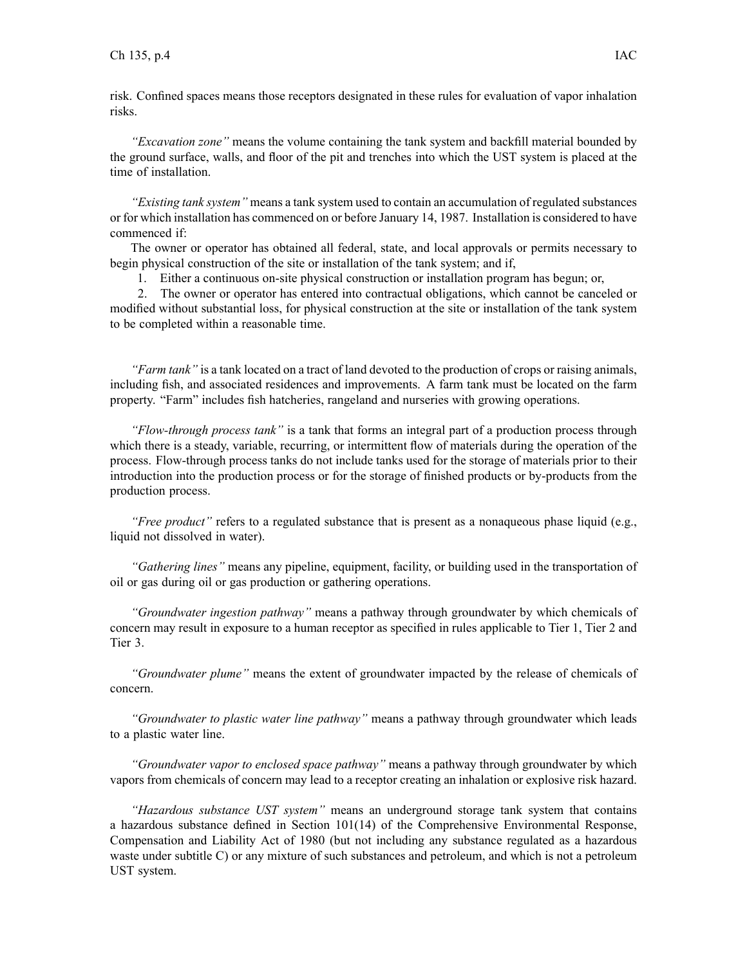risk. Confined spaces means those receptors designated in these rules for evaluation of vapor inhalation risks.

*"Excavation zone"* means the volume containing the tank system and backfill material bounded by the ground surface, walls, and floor of the pit and trenches into which the UST system is placed at the time of installation.

*"Existing tank system"* means <sup>a</sup> tank system used to contain an accumulation of regulated substances or for which installation has commenced on or before January 14, 1987. Installation is considered to have commenced if:

The owner or operator has obtained all federal, state, and local approvals or permits necessary to begin physical construction of the site or installation of the tank system; and if,

1. Either <sup>a</sup> continuous on-site physical construction or installation program has begun; or,

2. The owner or operator has entered into contractual obligations, which cannot be canceled or modified without substantial loss, for physical construction at the site or installation of the tank system to be completed within <sup>a</sup> reasonable time.

*"Farm tank"* is <sup>a</sup> tank located on <sup>a</sup> tract of land devoted to the production of crops or raising animals, including fish, and associated residences and improvements. A farm tank must be located on the farm property. "Farm" includes fish hatcheries, rangeland and nurseries with growing operations.

*"Flow-through process tank"* is <sup>a</sup> tank that forms an integral par<sup>t</sup> of <sup>a</sup> production process through which there is a steady, variable, recurring, or intermittent flow of materials during the operation of the process. Flow-through process tanks do not include tanks used for the storage of materials prior to their introduction into the production process or for the storage of finished products or by-products from the production process.

*"Free product"* refers to <sup>a</sup> regulated substance that is presen<sup>t</sup> as <sup>a</sup> nonaqueous phase liquid (e.g., liquid not dissolved in water).

*"Gathering lines"* means any pipeline, equipment, facility, or building used in the transportation of oil or gas during oil or gas production or gathering operations.

*"Groundwater ingestion pathway"* means <sup>a</sup> pathway through groundwater by which chemicals of concern may result in exposure to <sup>a</sup> human receptor as specified in rules applicable to Tier 1, Tier 2 and Tier 3.

*"Groundwater plume"* means the extent of groundwater impacted by the release of chemicals of concern.

*"Groundwater to plastic water line pathway"* means <sup>a</sup> pathway through groundwater which leads to <sup>a</sup> plastic water line.

*"Groundwater vapor to enclosed space pathway"* means <sup>a</sup> pathway through groundwater by which vapors from chemicals of concern may lead to <sup>a</sup> receptor creating an inhalation or explosive risk hazard.

*"Hazardous substance UST system"* means an underground storage tank system that contains <sup>a</sup> hazardous substance defined in Section 101(14) of the Comprehensive Environmental Response, Compensation and Liability Act of 1980 (but not including any substance regulated as <sup>a</sup> hazardous waste under subtitle C) or any mixture of such substances and petroleum, and which is not <sup>a</sup> petroleum UST system.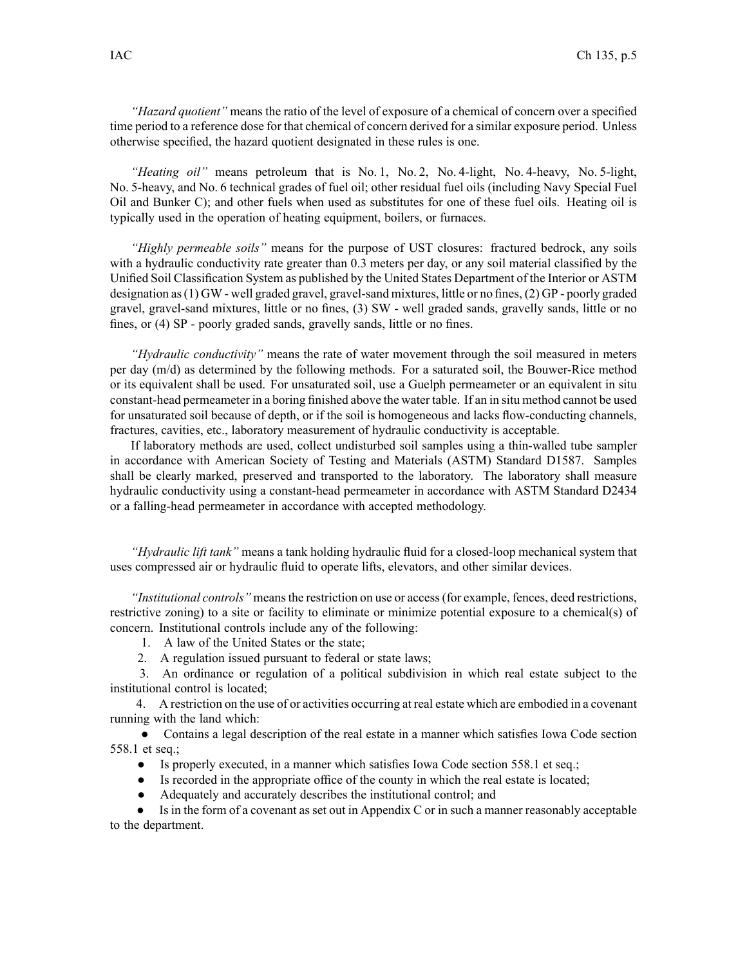*"Hazard quotient"* means the ratio of the level of exposure of <sup>a</sup> chemical of concern over <sup>a</sup> specified time period to <sup>a</sup> reference dose for that chemical of concern derived for <sup>a</sup> similar exposure period. Unless otherwise specified, the hazard quotient designated in these rules is one.

*"Heating oil"* means petroleum that is No. 1, No. 2, No. 4-light, No. 4-heavy, No. 5-light, No. 5-heavy, and No. 6 technical grades of fuel oil; other residual fuel oils (including Navy Special Fuel Oil and Bunker C); and other fuels when used as substitutes for one of these fuel oils. Heating oil is typically used in the operation of heating equipment, boilers, or furnaces.

*"Highly permeable soils"* means for the purpose of UST closures: fractured bedrock, any soils with a hydraulic conductivity rate greater than 0.3 meters per day, or any soil material classified by the Unified Soil Classification System as published by the United States Department of the Interior or ASTM designation as(1) GW - well graded gravel, gravel-sand mixtures, little or no fines, (2) GP - poorly graded gravel, gravel-sand mixtures, little or no fines, (3) SW - well graded sands, gravelly sands, little or no fines, or (4) SP - poorly graded sands, gravelly sands, little or no fines.

*"Hydraulic conductivity"* means the rate of water movement through the soil measured in meters per day (m/d) as determined by the following methods. For <sup>a</sup> saturated soil, the Bouwer-Rice method or its equivalent shall be used. For unsaturated soil, use <sup>a</sup> Guelph permeameter or an equivalent in situ constant-head permeameter in <sup>a</sup> boring finished above the water table. If an in situ method cannot be used for unsaturated soil because of depth, or if the soil is homogeneous and lacks flow-conducting channels, fractures, cavities, etc., laboratory measurement of hydraulic conductivity is acceptable.

If laboratory methods are used, collect undisturbed soil samples using <sup>a</sup> thin-walled tube sampler in accordance with American Society of Testing and Materials (ASTM) Standard D1587. Samples shall be clearly marked, preserved and transported to the laboratory. The laboratory shall measure hydraulic conductivity using <sup>a</sup> constant-head permeameter in accordance with ASTM Standard D2434 or <sup>a</sup> falling-head permeameter in accordance with accepted methodology.

*"Hydraulic lift tank"* means <sup>a</sup> tank holding hydraulic fluid for <sup>a</sup> closed-loop mechanical system that uses compressed air or hydraulic fluid to operate lifts, elevators, and other similar devices.

*"Institutional controls"* means the restriction on use or access (for example, fences, deed restrictions, restrictive zoning) to <sup>a</sup> site or facility to eliminate or minimize potential exposure to <sup>a</sup> chemical(s) of concern. Institutional controls include any of the following:

1. A law of the United States or the state;

2. A regulation issued pursuan<sup>t</sup> to federal or state laws;

3. An ordinance or regulation of <sup>a</sup> political subdivision in which real estate subject to the institutional control is located;

4. A restriction on the use of or activities occurring at real estate which are embodied in <sup>a</sup> covenant running with the land which:

• Contains a legal description of the real estate in a manner which satisfies Iowa Code section 558.1 et seq.;

- Is properly executed, in <sup>a</sup> manner which satisfies Iowa Code section 558.1 et seq.;
	- ●Is recorded in the appropriate office of the county in which the real estate is located;
	- ●Adequately and accurately describes the institutional control; and

● Is in the form of <sup>a</sup> covenant as set out in Appendix C or in such <sup>a</sup> manner reasonably acceptable to the department.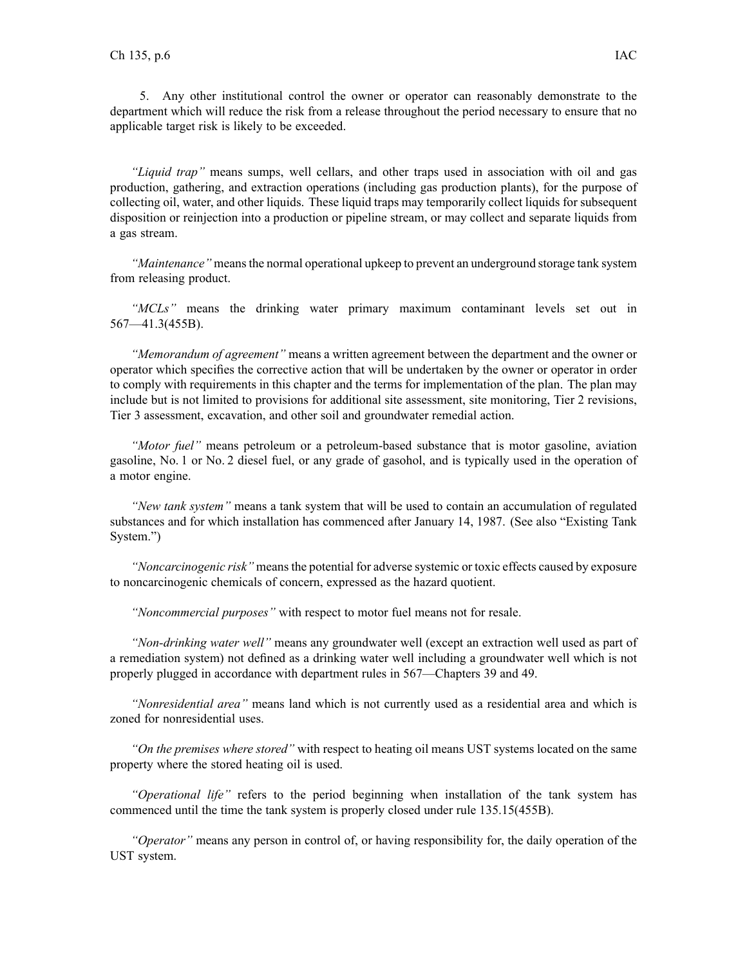5. Any other institutional control the owner or operator can reasonably demonstrate to the department which will reduce the risk from <sup>a</sup> release throughout the period necessary to ensure that no applicable target risk is likely to be exceeded.

*"Liquid trap"* means sumps, well cellars, and other traps used in association with oil and gas production, gathering, and extraction operations (including gas production plants), for the purpose of collecting oil, water, and other liquids. These liquid traps may temporarily collect liquids for subsequent disposition or reinjection into <sup>a</sup> production or pipeline stream, or may collect and separate liquids from <sup>a</sup> gas stream.

*"Maintenance"* means the normal operational upkeep to prevent an underground storage tank system from releasing product.

*"MCLs"* means the drinking water primary maximum contaminant levels set out in 567—41.3(455B).

*"Memorandum of agreement"* means <sup>a</sup> written agreemen<sup>t</sup> between the department and the owner or operator which specifies the corrective action that will be undertaken by the owner or operator in order to comply with requirements in this chapter and the terms for implementation of the plan. The plan may include but is not limited to provisions for additional site assessment, site monitoring, Tier 2 revisions, Tier 3 assessment, excavation, and other soil and groundwater remedial action.

*"Motor fuel"* means petroleum or <sup>a</sup> petroleum-based substance that is motor gasoline, aviation gasoline, No. 1 or No. 2 diesel fuel, or any grade of gasohol, and is typically used in the operation of <sup>a</sup> motor engine.

*"New tank system"* means <sup>a</sup> tank system that will be used to contain an accumulation of regulated substances and for which installation has commenced after January 14, 1987. (See also "Existing Tank System.")

*"Noncarcinogenic risk"* means the potential for adverse systemic or toxic effects caused by exposure to noncarcinogenic chemicals of concern, expressed as the hazard quotient.

*"Noncommercial purposes"* with respec<sup>t</sup> to motor fuel means not for resale.

*"Non-drinking water well"* means any groundwater well (except an extraction well used as par<sup>t</sup> of <sup>a</sup> remediation system) not defined as <sup>a</sup> drinking water well including <sup>a</sup> groundwater well which is not properly plugged in accordance with department rules in 567—Chapters 39 and 49.

*"Nonresidential area"* means land which is not currently used as <sup>a</sup> residential area and which is zoned for nonresidential uses.

*"On the premises where stored"* with respec<sup>t</sup> to heating oil means UST systems located on the same property where the stored heating oil is used.

*"Operational life"* refers to the period beginning when installation of the tank system has commenced until the time the tank system is properly closed under rule 135.15(455B).

*"Operator"* means any person in control of, or having responsibility for, the daily operation of the UST system.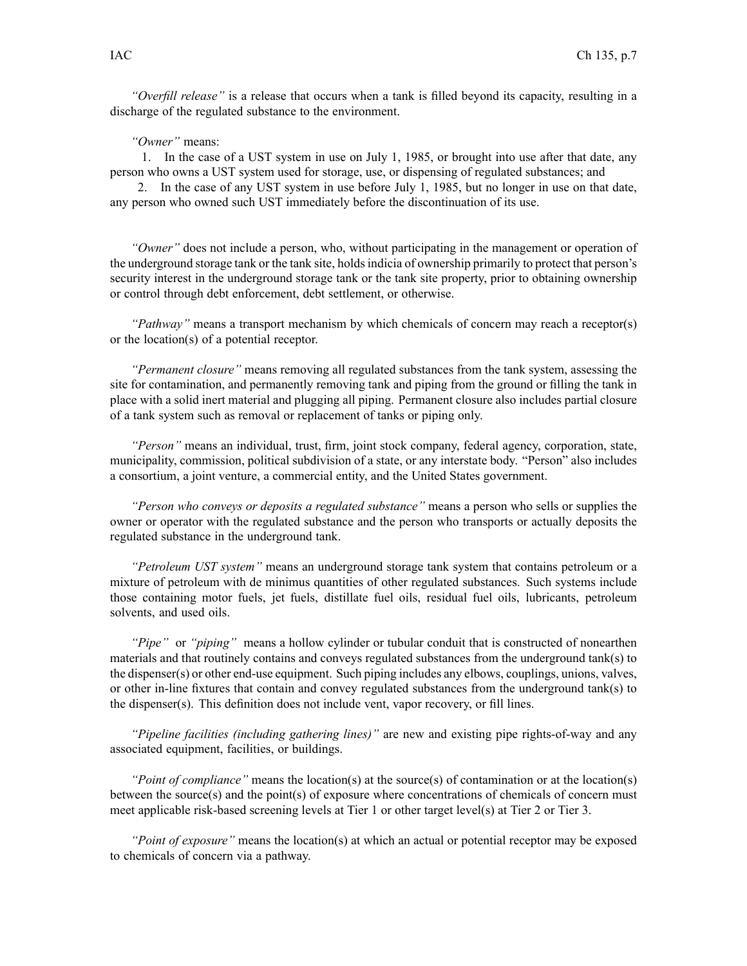*"Overfill release"* is <sup>a</sup> release that occurs when <sup>a</sup> tank is filled beyond its capacity, resulting in <sup>a</sup> discharge of the regulated substance to the environment.

## *"Owner"* means:

1. In the case of <sup>a</sup> UST system in use on July 1, 1985, or brought into use after that date, any person who owns <sup>a</sup> UST system used for storage, use, or dispensing of regulated substances; and

2. In the case of any UST system in use before July 1, 1985, but no longer in use on that date, any person who owned such UST immediately before the discontinuation of its use.

*"Owner"* does not include <sup>a</sup> person, who, without participating in the managemen<sup>t</sup> or operation of the underground storage tank or the tank site, holdsindicia of ownership primarily to protect that person's security interest in the underground storage tank or the tank site property, prior to obtaining ownership or control through debt enforcement, debt settlement, or otherwise.

*"Pathway"* means <sup>a</sup> transport mechanism by which chemicals of concern may reach <sup>a</sup> receptor(s) or the location(s) of <sup>a</sup> potential receptor.

*"Permanent closure"* means removing all regulated substances from the tank system, assessing the site for contamination, and permanently removing tank and piping from the ground or filling the tank in place with <sup>a</sup> solid inert material and plugging all piping. Permanent closure also includes partial closure of <sup>a</sup> tank system such as removal or replacement of tanks or piping only.

*"Person"* means an individual, trust, firm, joint stock company, federal agency, corporation, state, municipality, commission, political subdivision of <sup>a</sup> state, or any interstate body. "Person" also includes <sup>a</sup> consortium, <sup>a</sup> joint venture, <sup>a</sup> commercial entity, and the United States government.

*"Person who conveys or deposits <sup>a</sup> regulated substance"* means <sup>a</sup> person who sells or supplies the owner or operator with the regulated substance and the person who transports or actually deposits the regulated substance in the underground tank.

*"Petroleum UST system"* means an underground storage tank system that contains petroleum or <sup>a</sup> mixture of petroleum with de minimus quantities of other regulated substances. Such systems include those containing motor fuels, jet fuels, distillate fuel oils, residual fuel oils, lubricants, petroleum solvents, and used oils.

*"Pipe"* or *"piping"* means <sup>a</sup> hollow cylinder or tubular conduit that is constructed of nonearthen materials and that routinely contains and conveys regulated substances from the underground tank(s) to the dispenser(s) or other end-use equipment. Such piping includes any elbows, couplings, unions, valves, or other in-line fixtures that contain and convey regulated substances from the underground tank(s) to the dispenser(s). This definition does not include vent, vapor recovery, or fill lines.

*"Pipeline facilities (including gathering lines)"* are new and existing pipe rights-of-way and any associated equipment, facilities, or buildings.

*"Point of compliance"* means the location(s) at the source(s) of contamination or at the location(s) between the source(s) and the point(s) of exposure where concentrations of chemicals of concern must meet applicable risk-based screening levels at Tier 1 or other target level(s) at Tier 2 or Tier 3.

*"Point of exposure"* means the location(s) at which an actual or potential receptor may be exposed to chemicals of concern via <sup>a</sup> pathway.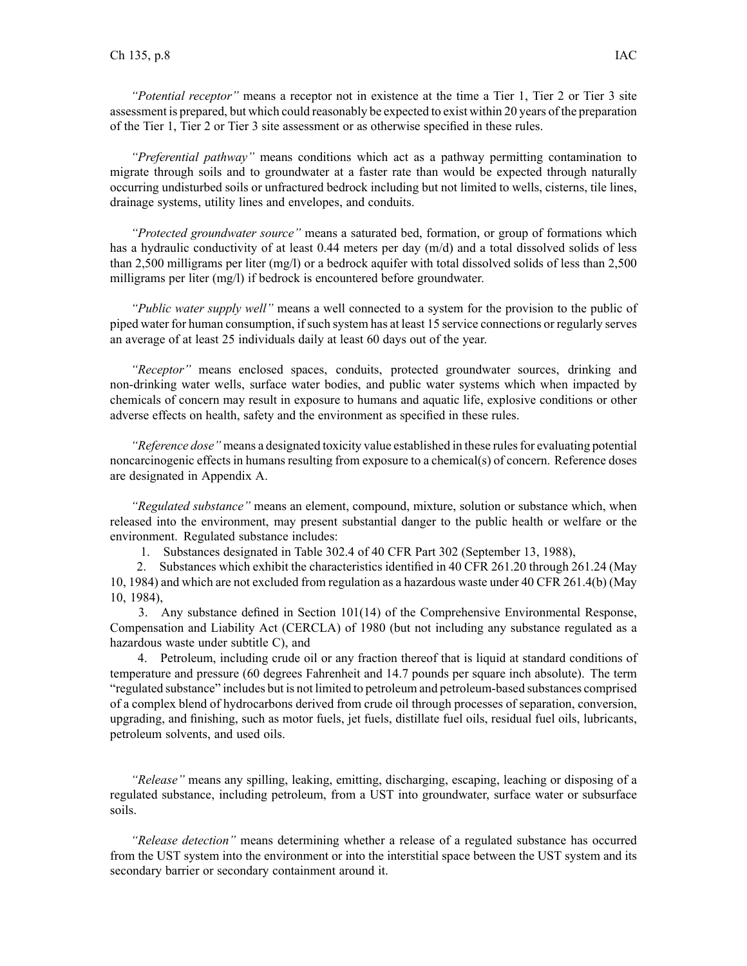*"Potential receptor"* means <sup>a</sup> receptor not in existence at the time <sup>a</sup> Tier 1, Tier 2 or Tier 3 site assessment is prepared, but which could reasonably be expected to exist within 20 years of the preparation of the Tier 1, Tier 2 or Tier 3 site assessment or as otherwise specified in these rules.

*"Preferential pathway"* means conditions which act as <sup>a</sup> pathway permitting contamination to migrate through soils and to groundwater at <sup>a</sup> faster rate than would be expected through naturally occurring undisturbed soils or unfractured bedrock including but not limited to wells, cisterns, tile lines, drainage systems, utility lines and envelopes, and conduits.

*"Protected groundwater source"* means <sup>a</sup> saturated bed, formation, or group of formations which has a hydraulic conductivity of at least 0.44 meters per day (m/d) and a total dissolved solids of less than 2,500 milligrams per liter (mg/l) or <sup>a</sup> bedrock aquifer with total dissolved solids of less than 2,500 milligrams per liter (mg/l) if bedrock is encountered before groundwater.

*"Public water supply well"* means <sup>a</sup> well connected to <sup>a</sup> system for the provision to the public of piped water for human consumption, ifsuch system has at least 15 service connections or regularly serves an average of at least 25 individuals daily at least 60 days out of the year.

*"Receptor"* means enclosed spaces, conduits, protected groundwater sources, drinking and non-drinking water wells, surface water bodies, and public water systems which when impacted by chemicals of concern may result in exposure to humans and aquatic life, explosive conditions or other adverse effects on health, safety and the environment as specified in these rules.

*"Reference dose"* means a designated toxicity value established in these rules for evaluating potential noncarcinogenic effects in humans resulting from exposure to <sup>a</sup> chemical(s) of concern. Reference doses are designated in Appendix A.

*"Regulated substance"* means an element, compound, mixture, solution or substance which, when released into the environment, may presen<sup>t</sup> substantial danger to the public health or welfare or the environment. Regulated substance includes:

1. Substances designated in Table 302.4 of 40 CFR Part 302 (September 13, 1988),

2. Substances which exhibit the characteristics identified in 40 CFR 261.20 through 261.24 (May 10, 1984) and which are not excluded from regulation as <sup>a</sup> hazardous waste under 40 CFR 261.4(b) (May 10, 1984),

3. Any substance defined in Section 101(14) of the Comprehensive Environmental Response, Compensation and Liability Act (CERCLA) of 1980 (but not including any substance regulated as <sup>a</sup> hazardous waste under subtitle C), and

4. Petroleum, including crude oil or any fraction thereof that is liquid at standard conditions of temperature and pressure (60 degrees Fahrenheit and 14.7 pounds per square inch absolute). The term "regulated substance" includes but is not limited to petroleum and petroleum-based substances comprised of <sup>a</sup> complex blend of hydrocarbons derived from crude oil through processes of separation, conversion, upgrading, and finishing, such as motor fuels, jet fuels, distillate fuel oils, residual fuel oils, lubricants, petroleum solvents, and used oils.

*"Release"* means any spilling, leaking, emitting, discharging, escaping, leaching or disposing of <sup>a</sup> regulated substance, including petroleum, from <sup>a</sup> UST into groundwater, surface water or subsurface soils.

*"Release detection"* means determining whether <sup>a</sup> release of <sup>a</sup> regulated substance has occurred from the UST system into the environment or into the interstitial space between the UST system and its secondary barrier or secondary containment around it.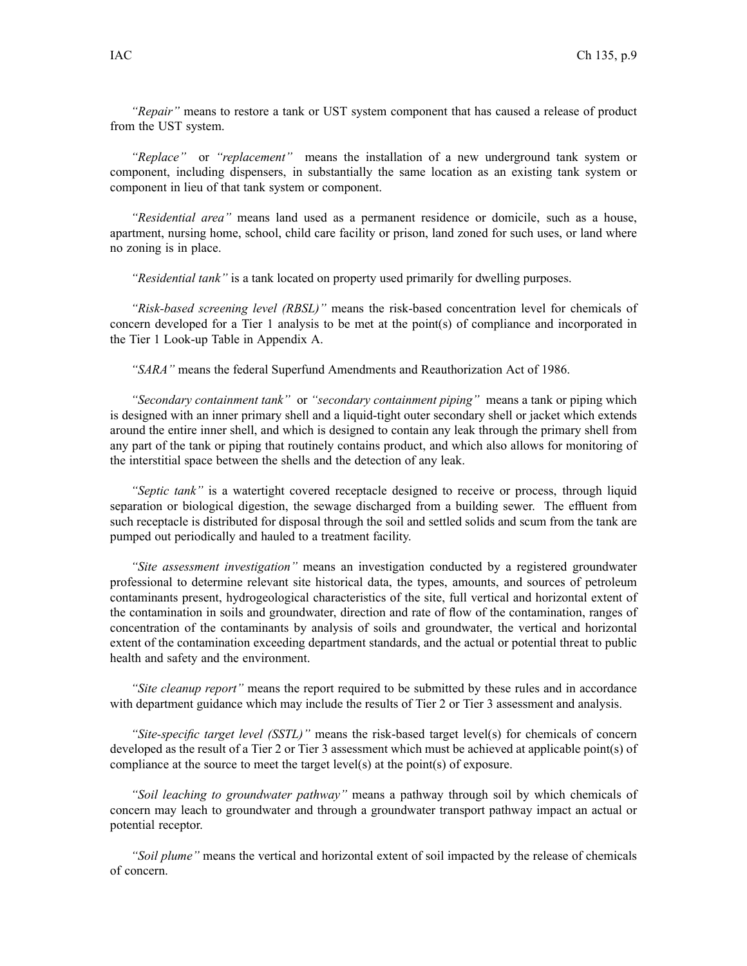*"Repair"* means to restore <sup>a</sup> tank or UST system componen<sup>t</sup> that has caused <sup>a</sup> release of product from the UST system.

*"Replace"* or *"replacement"* means the installation of <sup>a</sup> new underground tank system or component, including dispensers, in substantially the same location as an existing tank system or componen<sup>t</sup> in lieu of that tank system or component.

*"Residential area"* means land used as <sup>a</sup> permanen<sup>t</sup> residence or domicile, such as <sup>a</sup> house, apartment, nursing home, school, child care facility or prison, land zoned for such uses, or land where no zoning is in place.

*"Residential tank"* is <sup>a</sup> tank located on property used primarily for dwelling purposes.

*"Risk-based screening level (RBSL)"* means the risk-based concentration level for chemicals of concern developed for <sup>a</sup> Tier 1 analysis to be met at the point(s) of compliance and incorporated in the Tier 1 Look-up Table in Appendix A.

*"SARA"* means the federal Superfund Amendments and Reauthorization Act of 1986.

*"Secondary containment tank"* or *"secondary containment piping"* means <sup>a</sup> tank or piping which is designed with an inner primary shell and <sup>a</sup> liquid-tight outer secondary shell or jacket which extends around the entire inner shell, and which is designed to contain any leak through the primary shell from any par<sup>t</sup> of the tank or piping that routinely contains product, and which also allows for monitoring of the interstitial space between the shells and the detection of any leak.

*"Septic tank"* is <sup>a</sup> watertight covered receptacle designed to receive or process, through liquid separation or biological digestion, the sewage discharged from <sup>a</sup> building sewer. The effluent from such receptacle is distributed for disposal through the soil and settled solids and scum from the tank are pumped out periodically and hauled to <sup>a</sup> treatment facility.

*"Site assessment investigation"* means an investigation conducted by <sup>a</sup> registered groundwater professional to determine relevant site historical data, the types, amounts, and sources of petroleum contaminants present, hydrogeological characteristics of the site, full vertical and horizontal extent of the contamination in soils and groundwater, direction and rate of flow of the contamination, ranges of concentration of the contaminants by analysis of soils and groundwater, the vertical and horizontal extent of the contamination exceeding department standards, and the actual or potential threat to public health and safety and the environment.

*"Site cleanup report"* means the repor<sup>t</sup> required to be submitted by these rules and in accordance with department guidance which may include the results of Tier 2 or Tier 3 assessment and analysis.

*"Site-specific target level (SSTL)"* means the risk-based target level(s) for chemicals of concern developed as the result of <sup>a</sup> Tier 2 or Tier 3 assessment which must be achieved at applicable point(s) of compliance at the source to meet the target level(s) at the point(s) of exposure.

*"Soil leaching to groundwater pathway"* means <sup>a</sup> pathway through soil by which chemicals of concern may leach to groundwater and through <sup>a</sup> groundwater transport pathway impact an actual or potential receptor.

*"Soil plume"* means the vertical and horizontal extent of soil impacted by the release of chemicals of concern.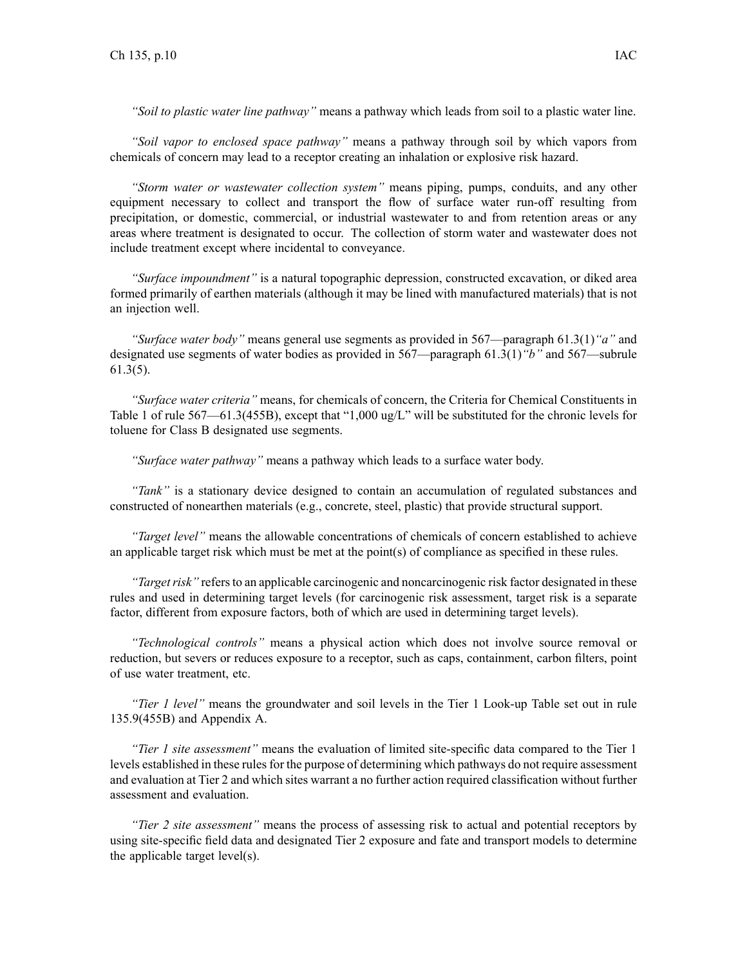*"Soil to plastic water line pathway"* means <sup>a</sup> pathway which leads from soil to <sup>a</sup> plastic water line.

*"Soil vapor to enclosed space pathway"* means <sup>a</sup> pathway through soil by which vapors from chemicals of concern may lead to <sup>a</sup> receptor creating an inhalation or explosive risk hazard.

*"Storm water or wastewater collection system"* means piping, pumps, conduits, and any other equipment necessary to collect and transport the flow of surface water run-off resulting from precipitation, or domestic, commercial, or industrial wastewater to and from retention areas or any areas where treatment is designated to occur. The collection of storm water and wastewater does not include treatment excep<sup>t</sup> where incidental to conveyance.

*"Surface impoundment"* is <sup>a</sup> natural topographic depression, constructed excavation, or diked area formed primarily of earthen materials (although it may be lined with manufactured materials) that is not an injection well.

*"Surface water body"* means general use segments as provided in 567—paragraph 61.3(1)*"a"* and designated use segments of water bodies as provided in 567—paragraph 61.3(1)*"b"* and 567—subrule 61.3(5).

*"Surface water criteria"* means, for chemicals of concern, the Criteria for Chemical Constituents in Table 1 of rule 567—61.3(455B), excep<sup>t</sup> that "1,000 ug/L" will be substituted for the chronic levels for toluene for Class B designated use segments.

*"Surface water pathway"* means <sup>a</sup> pathway which leads to <sup>a</sup> surface water body.

*"Tank"* is <sup>a</sup> stationary device designed to contain an accumulation of regulated substances and constructed of nonearthen materials (e.g., concrete, steel, plastic) that provide structural support.

*"Target level"* means the allowable concentrations of chemicals of concern established to achieve an applicable target risk which must be met at the point(s) of compliance as specified in these rules.

*"Target risk"* refers to an applicable carcinogenic and noncarcinogenic risk factor designated in these rules and used in determining target levels (for carcinogenic risk assessment, target risk is <sup>a</sup> separate factor, different from exposure factors, both of which are used in determining target levels).

*"Technological controls"* means <sup>a</sup> physical action which does not involve source removal or reduction, but severs or reduces exposure to <sup>a</sup> receptor, such as caps, containment, carbon filters, point of use water treatment, etc.

*"Tier 1 level"* means the groundwater and soil levels in the Tier 1 Look-up Table set out in rule 135.9(455B) and Appendix A.

*"Tier 1 site assessment"* means the evaluation of limited site-specific data compared to the Tier 1 levels established in these rules for the purpose of determining which pathways do not require assessment and evaluation at Tier 2 and which sites warrant <sup>a</sup> no further action required classification without further assessment and evaluation.

*"Tier 2 site assessment"* means the process of assessing risk to actual and potential receptors by using site-specific field data and designated Tier 2 exposure and fate and transport models to determine the applicable target level(s).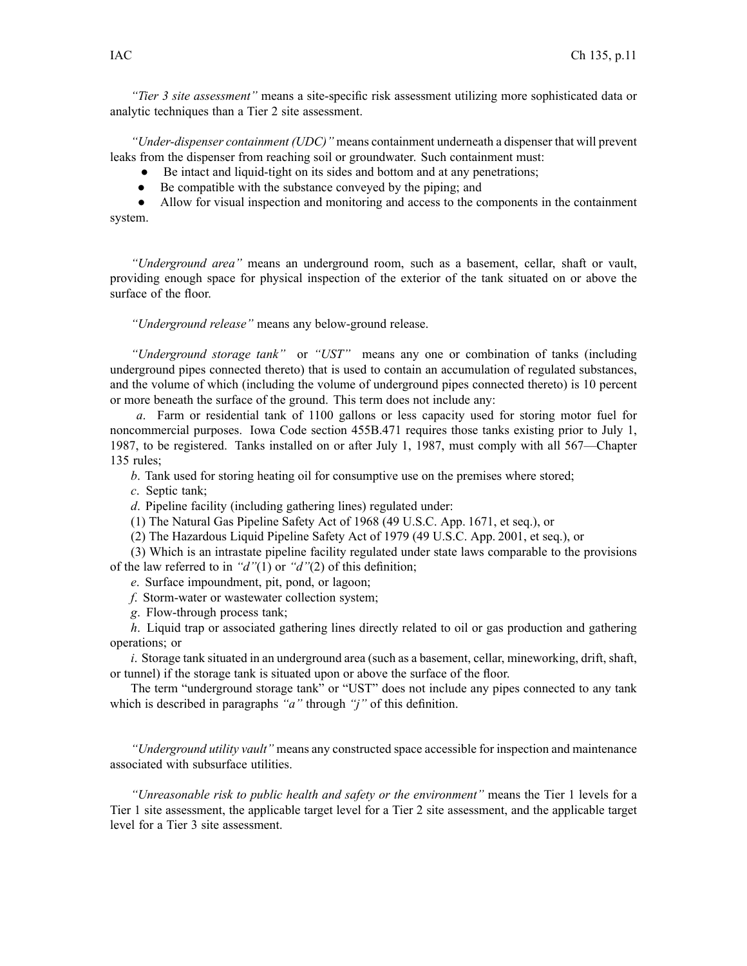*"Tier 3 site assessment"* means <sup>a</sup> site-specific risk assessment utilizing more sophisticated data or analytic techniques than <sup>a</sup> Tier 2 site assessment.

*"Under-dispenser containment (UDC)"* means containment underneath <sup>a</sup> dispenser that will preven<sup>t</sup> leaks from the dispenser from reaching soil or groundwater. Such containment must:

- Be intact and liquid-tight on its sides and bottom and at any penetrations;
- $\bullet$ Be compatible with the substance conveyed by the piping; and

 $\bullet$  Allow for visual inspection and monitoring and access to the components in the containment system.

*"Underground area"* means an underground room, such as <sup>a</sup> basement, cellar, shaft or vault, providing enough space for physical inspection of the exterior of the tank situated on or above the surface of the floor.

*"Underground release"* means any below-ground release.

*"Underground storage tank"* or *"UST"* means any one or combination of tanks (including underground pipes connected thereto) that is used to contain an accumulation of regulated substances, and the volume of which (including the volume of underground pipes connected thereto) is 10 percen<sup>t</sup> or more beneath the surface of the ground. This term does not include any:

*<sup>a</sup>*. Farm or residential tank of 1100 gallons or less capacity used for storing motor fuel for noncommercial purposes. Iowa Code section 455B.471 requires those tanks existing prior to July 1, 1987, to be registered. Tanks installed on or after July 1, 1987, must comply with all 567—Chapter 135 rules;

*b*. Tank used for storing heating oil for consumptive use on the premises where stored;

*<sup>c</sup>*. Septic tank;

*d*. Pipeline facility (including gathering lines) regulated under:

(1) The Natural Gas Pipeline Safety Act of 1968 (49 U.S.C. App. 1671, et seq.), or

(2) The Hazardous Liquid Pipeline Safety Act of 1979 (49 U.S.C. App. 2001, et seq.), or

(3) Which is an intrastate pipeline facility regulated under state laws comparable to the provisions of the law referred to in *"d"*(1) or *"d"*(2) of this definition;

*<sup>e</sup>*. Surface impoundment, pit, pond, or lagoon;

*f*. Storm-water or wastewater collection system;

*g*. Flow-through process tank;

*h*. Liquid trap or associated gathering lines directly related to oil or gas production and gathering operations; or

*i*. Storage tank situated in an underground area (such as a basement, cellar, mineworking, drift, shaft, or tunnel) if the storage tank is situated upon or above the surface of the floor.

The term "underground storage tank" or "UST" does not include any pipes connected to any tank which is described in paragraphs *"a"* through *"j"* of this definition.

*"Underground utility vault"* means any constructed space accessible for inspection and maintenance associated with subsurface utilities.

*"Unreasonable risk to public health and safety or the environment"* means the Tier 1 levels for <sup>a</sup> Tier 1 site assessment, the applicable target level for <sup>a</sup> Tier 2 site assessment, and the applicable target level for <sup>a</sup> Tier 3 site assessment.